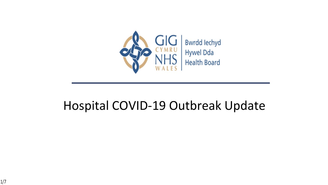

### Hospital COVID-19 Outbreak Update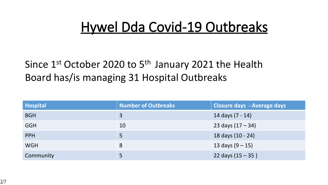## **Hywel Dda Covid-19 Outbreaks**

### Since  $1^{st}$  October 2020 to  $5^{th}$  January 2021 the Health Board has/is managing 31 Hospital Outbreaks

| <b>Hospital</b> | <b>Number of Outbreaks</b> | <b>Closure days - Average days</b> |
|-----------------|----------------------------|------------------------------------|
| <b>BGH</b>      | $\overline{3}$             | 14 days (7 - 14)                   |
| <b>GGH</b>      | 10                         | 23 days $(17 - 34)$                |
| <b>PPH</b>      |                            | 18 days (10 - 24)                  |
| <b>WGH</b>      | 8                          | 13 days $(9 - 15)$                 |
| Community       |                            | 22 days $(15 - 35)$                |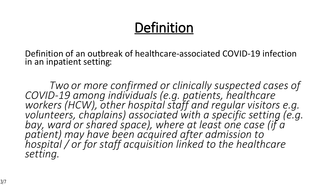# **Definition**

Definition of an outbreak of healthcare-associated COVID-19 infection in an inpatient setting:

*Two or more confirmed or clinically suspected cases of COVID-19 among individuals (e.g. patients, healthcare workers (HCW), other hospital staff and regular visitors e.g. volunteers, chaplains) associated with a specific setting (e.g. bay, ward or shared space), where at least one case (if a patient) may have been acquired after admission to hospital / or for staff acquisition linked to the healthcare setting.*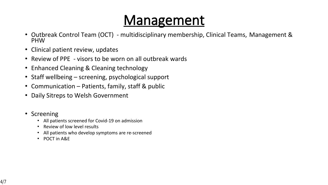## **Management**

- Outbreak Control Team (OCT) multidisciplinary membership, Clinical Teams, Management & PHW
- Clinical patient review, updates
- Review of PPE visors to be worn on all outbreak wards
- Enhanced Cleaning & Cleaning technology
- Staff wellbeing screening, psychological support
- Communication Patients, family, staff & public
- Daily Sitreps to Welsh Government
- Screening
	- All patients screened for Covid-19 on admission
	- Review of low level results
	- All patients who develop symptoms are re-screened
	- POCT in A&E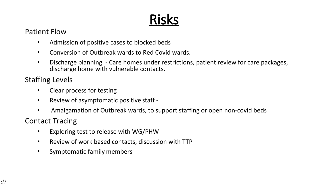# **Risks**

#### Patient Flow

- Admission of positive cases to blocked beds
- Conversion of Outbreak wards to Red Covid wards.
- Discharge planning Care homes under restrictions, patient review for care packages, discharge home with vulnerable contacts.

#### Staffing Levels

- Clear process for testing
- Review of asymptomatic positive staff -
- Amalgamation of Outbreak wards, to support staffing or open non-covid beds

#### Contact Tracing

- Exploring test to release with WG/PHW
- Review of work based contacts, discussion with TTP
- Symptomatic family members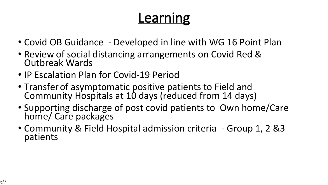# **Learning**

- Covid OB Guidance Developed in line with WG 16 Point Plan
- Review of social distancing arrangements on Covid Red & Outbreak Wards
- IP Escalation Plan for Covid-19 Period
- Transfer of asymptomatic positive patients to Field and Community Hospitals at 10 days (reduced from 14 days)
- Supporting discharge of post covid patients to Own home/Care home/ Care packages
- Community & Field Hospital admission criteria Group 1, 2 &3 patients